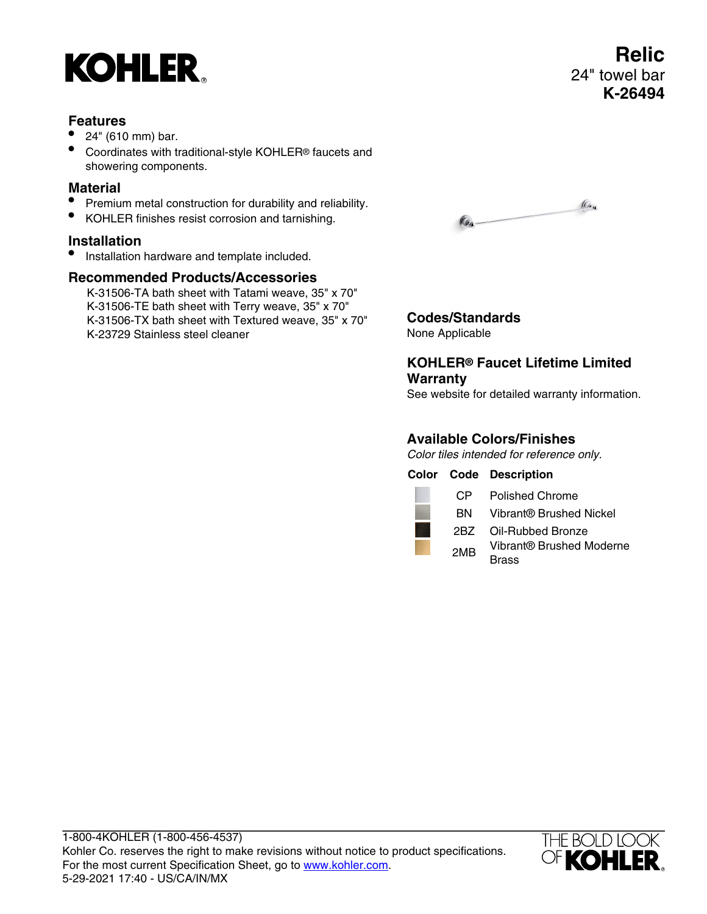

### **Features**

- 24" (610 mm) bar.
- Coordinates with traditional-style KOHLER® faucets and showering components.

### **Material**

- Premium metal construction for durability and reliability.
- KOHLER finishes resist corrosion and tarnishing.

# **Installation**

• Installation hardware and template included.

## **Recommended Products/Accessories**

K-31506-TA bath sheet with Tatami weave, 35" x 70" K-31506-TE bath sheet with Terry weave, 35" x 70" K-31506-TX bath sheet with Textured weave, 35" x 70" K-23729 Stainless steel cleaner



#### **Codes/Standards** None Applicable

## **KOHLER® Faucet Lifetime Limited Warranty**

See website for detailed warranty information.

## **Available Colors/Finishes**

Color tiles intended for reference only.

**Color Code Description**

CP Polished Chrome

BN Vibrant® Brushed Nickel

2BZ Oil-Rubbed Bronze

2MB Vibrant® Brushed Moderne **Brass**